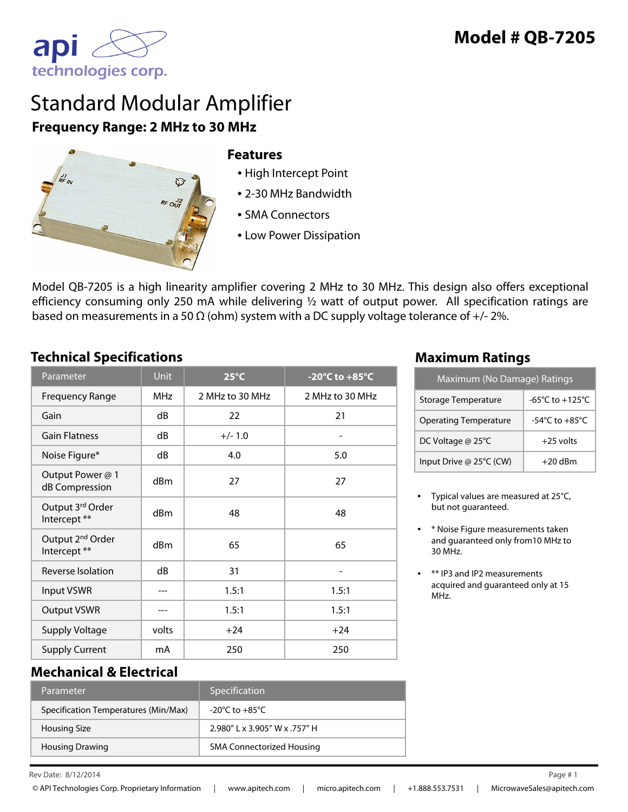

# Standard Modular Amplifier **Frequency Range: 2 MHz to 30 MHz**



#### **Features**

- High Intercept Point
- 2-30 MHz Bandwidth
- SMA Connectors
- Low Power Dissipation

Model QB-7205 is a high linearity amplifier covering 2 MHz to 30 MHz. This design also offers exceptional efficiency consuming only 250 mA while delivering ½ watt of output power. All specification ratings are based on measurements in a 50  $\Omega$  (ohm) system with a DC supply voltage tolerance of +/- 2%.

## **Technical Specifications Maximum Ratings**

| Parameter                                    | <b>Unit</b> | $25^{\circ}$ C  | -20 $^{\circ}$ C to +85 $^{\circ}$ C |
|----------------------------------------------|-------------|-----------------|--------------------------------------|
| <b>Frequency Range</b>                       | <b>MHz</b>  | 2 MHz to 30 MHz | 2 MHz to 30 MHz                      |
| Gain                                         | dB          | 22              | 21                                   |
| <b>Gain Flatness</b>                         | dB          | $+/- 1.0$       |                                      |
| Noise Figure*                                | dB          | 4.0             | 5.0                                  |
| Output Power @ 1<br>dB Compression           | dBm         | 27              | 27                                   |
| Output 3rd Order<br>Intercept **             | dBm         | 48              | 48                                   |
| Output 2 <sup>nd</sup> Order<br>Intercept ** | dBm         | 65              | 65                                   |
| Reverse Isolation                            | dB          | 31              |                                      |
| <b>Input VSWR</b>                            |             | 1.5:1           | 1.5:1                                |
| <b>Output VSWR</b>                           |             | 1.5:1           | 1.5:1                                |
| <b>Supply Voltage</b>                        | volts       | $+24$           | $+24$                                |
| <b>Supply Current</b>                        | mA          | 250             | 250                                  |

| Maximum (No Damage) Ratings  |                                    |  |  |
|------------------------------|------------------------------------|--|--|
| <b>Storage Temperature</b>   | -65°C to +125°C                    |  |  |
| <b>Operating Temperature</b> | $-54^{\circ}$ C to $+85^{\circ}$ C |  |  |
| DC Voltage @ 25°C            | $+25$ volts                        |  |  |
| Input Drive @ 25°C (CW)      | $+20$ dBm                          |  |  |

- Typical values are measured at 25°C, but not guaranteed.
- \* Noise Figure measurements taken and guaranteed only from10 MHz to 30 MHz.
- \*\* IP3 and IP2 measurements acquired and guaranteed only at 15 MHz.

#### **Mechanical & Electrical**

| Parameter                            | Specification                    |
|--------------------------------------|----------------------------------|
| Specification Temperatures (Min/Max) | -20°C to $+85^{\circ}$ C         |
| <b>Housing Size</b>                  | 2.980"   x 3.905" W x .757" H    |
| <b>Housing Drawing</b>               | <b>SMA Connectorized Housing</b> |

Rev Date:  $8/12/2014$  Page #1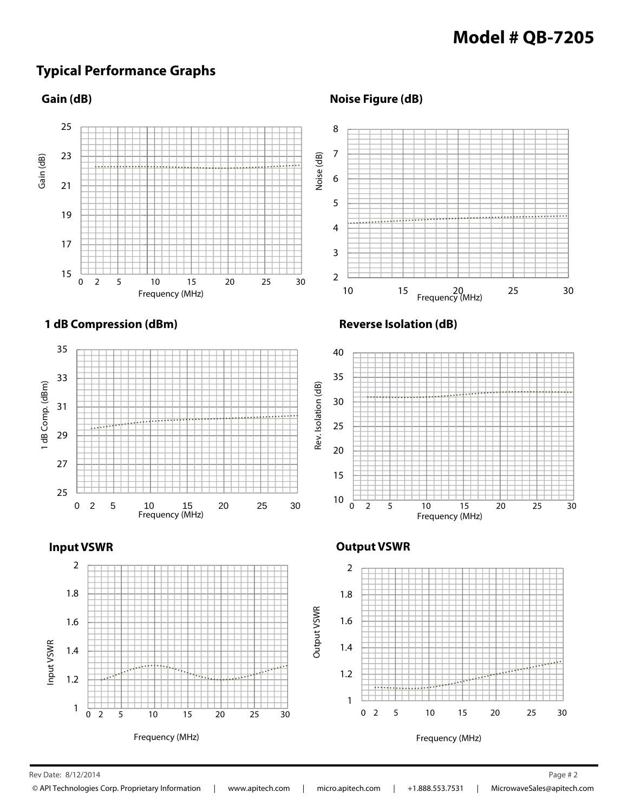## **Typical Performance Graphs**

#### **Gain (dB)**

**Noise Figure (dB)**



Rev Date: 8/12/2014 Page # 2